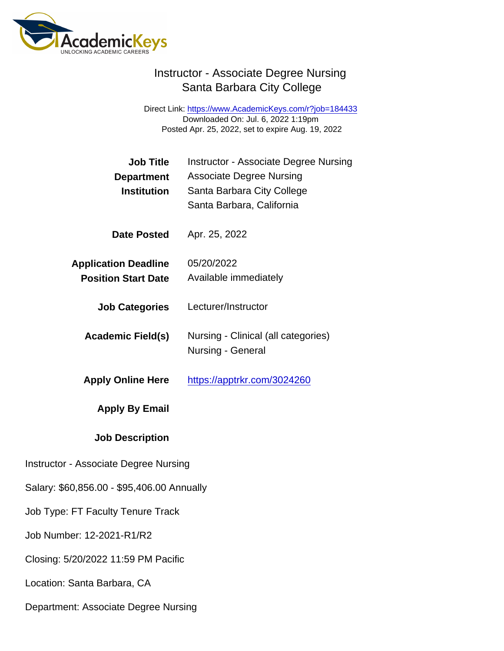Direct Link: <https://www.AcademicKeys.com/r?job=184433> Downloaded On: Jul. 6, 2022 1:19pm Posted Apr. 25, 2022, set to expire Aug. 19, 2022

| Job Title<br>Department<br>Institution                    | <b>Instructor - Associate Degree Nursing</b><br><b>Associate Degree Nursing</b><br>Santa Barbara City College<br>Santa Barbara, California |
|-----------------------------------------------------------|--------------------------------------------------------------------------------------------------------------------------------------------|
| Date Posted                                               | Apr. 25, 2022                                                                                                                              |
| <b>Application Deadline</b><br><b>Position Start Date</b> | 05/20/2022<br>Available immediately                                                                                                        |
| <b>Job Categories</b>                                     | Lecturer/Instructor                                                                                                                        |
| Academic Field(s)                                         | Nursing - Clinical (all categories)<br>Nursing - General                                                                                   |
| <b>Apply Online Here</b>                                  | https://apptrkr.com/3024260                                                                                                                |
| Apply By Email                                            |                                                                                                                                            |
| <b>Job Description</b>                                    |                                                                                                                                            |
| <b>Instructor - Associate Degree Nursing</b>              |                                                                                                                                            |
| Salary: \$60,856.00 - \$95,406.00 Annually                |                                                                                                                                            |
| Job Type: FT Faculty Tenure Track                         |                                                                                                                                            |
| Job Number: 12-2021-R1/R2                                 |                                                                                                                                            |
| Closing: 5/20/2022 11:59 PM Pacific                       |                                                                                                                                            |
| Location: Santa Barbara, CA                               |                                                                                                                                            |

Department: Associate Degree Nursing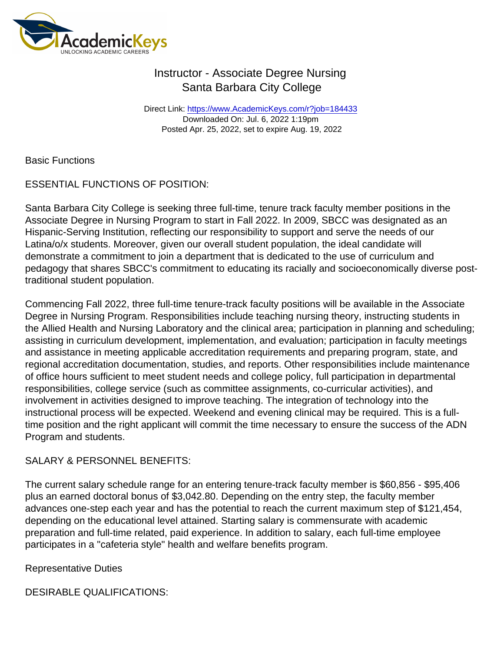Direct Link: <https://www.AcademicKeys.com/r?job=184433> Downloaded On: Jul. 6, 2022 1:19pm Posted Apr. 25, 2022, set to expire Aug. 19, 2022

Basic Functions

ESSENTIAL FUNCTIONS OF POSITION:

Santa Barbara City College is seeking three full-time, tenure track faculty member positions in the Associate Degree in Nursing Program to start in Fall 2022. In 2009, SBCC was designated as an Hispanic-Serving Institution, reflecting our responsibility to support and serve the needs of our Latina/o/x students. Moreover, given our overall student population, the ideal candidate will demonstrate a commitment to join a department that is dedicated to the use of curriculum and pedagogy that shares SBCC's commitment to educating its racially and socioeconomically diverse posttraditional student population.

Commencing Fall 2022, three full-time tenure-track faculty positions will be available in the Associate Degree in Nursing Program. Responsibilities include teaching nursing theory, instructing students in the Allied Health and Nursing Laboratory and the clinical area; participation in planning and scheduling; assisting in curriculum development, implementation, and evaluation; participation in faculty meetings and assistance in meeting applicable accreditation requirements and preparing program, state, and regional accreditation documentation, studies, and reports. Other responsibilities include maintenance of office hours sufficient to meet student needs and college policy, full participation in departmental responsibilities, college service (such as committee assignments, co-curricular activities), and involvement in activities designed to improve teaching. The integration of technology into the instructional process will be expected. Weekend and evening clinical may be required. This is a fulltime position and the right applicant will commit the time necessary to ensure the success of the ADN Program and students.

#### SALARY & PERSONNEL BENEFITS:

The current salary schedule range for an entering tenure-track faculty member is \$60,856 - \$95,406 plus an earned doctoral bonus of \$3,042.80. Depending on the entry step, the faculty member advances one-step each year and has the potential to reach the current maximum step of \$121,454, depending on the educational level attained. Starting salary is commensurate with academic preparation and full-time related, paid experience. In addition to salary, each full-time employee participates in a "cafeteria style" health and welfare benefits program.

Representative Duties

DESIRABLE QUALIFICATIONS: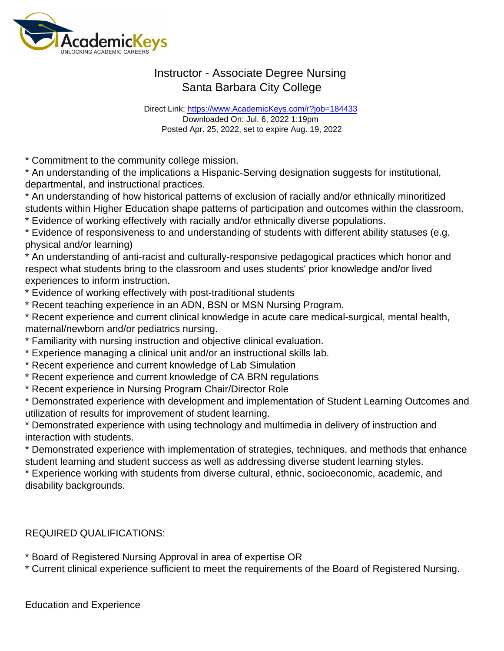Direct Link: <https://www.AcademicKeys.com/r?job=184433> Downloaded On: Jul. 6, 2022 1:19pm Posted Apr. 25, 2022, set to expire Aug. 19, 2022

\* Commitment to the community college mission.

\* An understanding of the implications a Hispanic-Serving designation suggests for institutional, departmental, and instructional practices.

\* An understanding of how historical patterns of exclusion of racially and/or ethnically minoritized students within Higher Education shape patterns of participation and outcomes within the classroom.

\* Evidence of working effectively with racially and/or ethnically diverse populations.

\* Evidence of responsiveness to and understanding of students with different ability statuses (e.g. physical and/or learning)

\* An understanding of anti-racist and culturally-responsive pedagogical practices which honor and respect what students bring to the classroom and uses students' prior knowledge and/or lived experiences to inform instruction.

\* Evidence of working effectively with post-traditional students

\* Recent teaching experience in an ADN, BSN or MSN Nursing Program.

\* Recent experience and current clinical knowledge in acute care medical-surgical, mental health, maternal/newborn and/or pediatrics nursing.

- \* Familiarity with nursing instruction and objective clinical evaluation.
- \* Experience managing a clinical unit and/or an instructional skills lab.
- \* Recent experience and current knowledge of Lab Simulation
- \* Recent experience and current knowledge of CA BRN regulations
- \* Recent experience in Nursing Program Chair/Director Role

\* Demonstrated experience with development and implementation of Student Learning Outcomes and utilization of results for improvement of student learning.

\* Demonstrated experience with using technology and multimedia in delivery of instruction and interaction with students.

\* Demonstrated experience with implementation of strategies, techniques, and methods that enhance student learning and student success as well as addressing diverse student learning styles.

\* Experience working with students from diverse cultural, ethnic, socioeconomic, academic, and disability backgrounds.

REQUIRED QUALIFICATIONS:

\* Board of Registered Nursing Approval in area of expertise OR

\* Current clinical experience sufficient to meet the requirements of the Board of Registered Nursing.

Education and Experience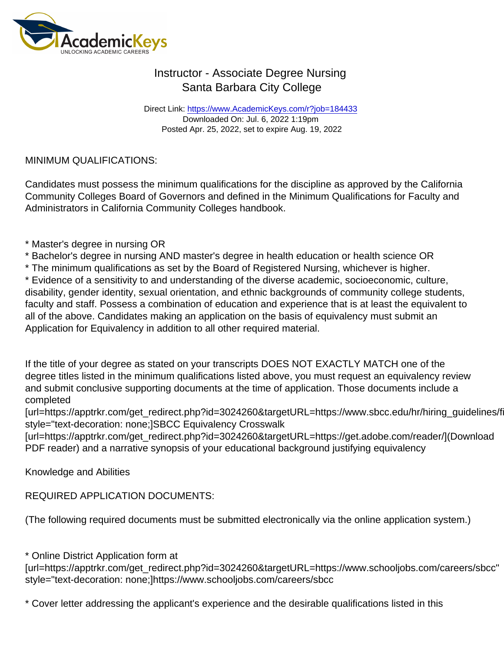Direct Link: <https://www.AcademicKeys.com/r?job=184433> Downloaded On: Jul. 6, 2022 1:19pm Posted Apr. 25, 2022, set to expire Aug. 19, 2022

#### MINIMUM QUALIFICATIONS:

Candidates must possess the minimum qualifications for the discipline as approved by the California Community Colleges Board of Governors and defined in the Minimum Qualifications for Faculty and Administrators in California Community Colleges handbook.

- \* Master's degree in nursing OR
- \* Bachelor's degree in nursing AND master's degree in health education or health science OR
- \* The minimum qualifications as set by the Board of Registered Nursing, whichever is higher.

\* Evidence of a sensitivity to and understanding of the diverse academic, socioeconomic, culture, disability, gender identity, sexual orientation, and ethnic backgrounds of community college students, faculty and staff. Possess a combination of education and experience that is at least the equivalent to all of the above. Candidates making an application on the basis of equivalency must submit an Application for Equivalency in addition to all other required material.

If the title of your degree as stated on your transcripts DOES NOT EXACTLY MATCH one of the degree titles listed in the minimum qualifications listed above, you must request an equivalency review and submit conclusive supporting documents at the time of application. Those documents include a completed

[url=https://apptrkr.com/get\_redirect.php?id=3024260&targetURL=https://www.sbcc.edu/hr/hiring\_guidelines/f style="text-decoration: none;]SBCC Equivalency Crosswalk

[url=https://apptrkr.com/get\_redirect.php?id=3024260&targetURL=https://get.adobe.com/reader/](Download PDF reader) and a narrative synopsis of your educational background justifying equivalency

Knowledge and Abilities

REQUIRED APPLICATION DOCUMENTS:

(The following required documents must be submitted electronically via the online application system.)

\* Online District Application form at

[url=https://apptrkr.com/get\_redirect.php?id=3024260&targetURL=https://www.schooljobs.com/careers/sbcc" style="text-decoration: none;]https://www.schooljobs.com/careers/sbcc

\* Cover letter addressing the applicant's experience and the desirable qualifications listed in this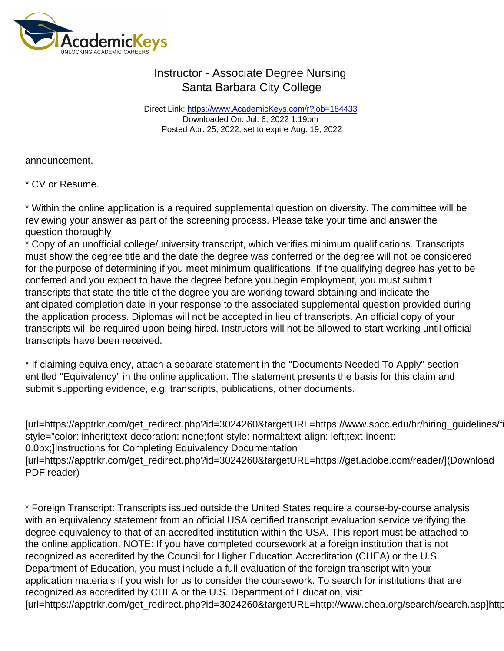Direct Link: <https://www.AcademicKeys.com/r?job=184433> Downloaded On: Jul. 6, 2022 1:19pm Posted Apr. 25, 2022, set to expire Aug. 19, 2022

announcement.

\* CV or Resume.

\* Within the online application is a required supplemental question on diversity. The committee will be reviewing your answer as part of the screening process. Please take your time and answer the question thoroughly

\* Copy of an unofficial college/university transcript, which verifies minimum qualifications. Transcripts must show the degree title and the date the degree was conferred or the degree will not be considered for the purpose of determining if you meet minimum qualifications. If the qualifying degree has yet to be conferred and you expect to have the degree before you begin employment, you must submit transcripts that state the title of the degree you are working toward obtaining and indicate the anticipated completion date in your response to the associated supplemental question provided during the application process. Diplomas will not be accepted in lieu of transcripts. An official copy of your transcripts will be required upon being hired. Instructors will not be allowed to start working until official transcripts have been received.

\* If claiming equivalency, attach a separate statement in the "Documents Needed To Apply" section entitled "Equivalency" in the online application. The statement presents the basis for this claim and submit supporting evidence, e.g. transcripts, publications, other documents.

[url=https://apptrkr.com/get\_redirect.php?id=3024260&targetURL=https://www.sbcc.edu/hr/hiring\_guidelines/f style="color: inherit;text-decoration: none;font-style: normal;text-align: left;text-indent: 0.0px;]Instructions for Completing Equivalency Documentation [url=https://apptrkr.com/get\_redirect.php?id=3024260&targetURL=https://get.adobe.com/reader/](Download PDF reader)

\* Foreign Transcript: Transcripts issued outside the United States require a course-by-course analysis with an equivalency statement from an official USA certified transcript evaluation service verifying the degree equivalency to that of an accredited institution within the USA. This report must be attached to the online application. NOTE: If you have completed coursework at a foreign institution that is not recognized as accredited by the Council for Higher Education Accreditation (CHEA) or the U.S. Department of Education, you must include a full evaluation of the foreign transcript with your application materials if you wish for us to consider the coursework. To search for institutions that are recognized as accredited by CHEA or the U.S. Department of Education, visit [url=https://apptrkr.com/get\_redirect.php?id=3024260&targetURL=http://www.chea.org/search/search.asp]http://www.chea.org/search/search.asp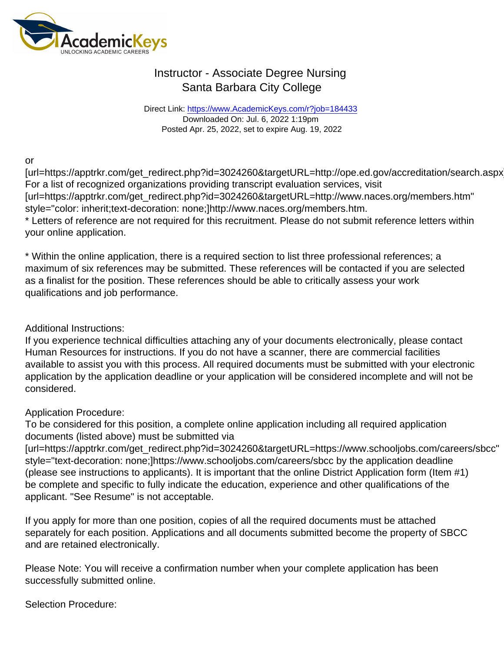Direct Link: <https://www.AcademicKeys.com/r?job=184433> Downloaded On: Jul. 6, 2022 1:19pm Posted Apr. 25, 2022, set to expire Aug. 19, 2022

or

[url=https://apptrkr.com/get\_redirect.php?id=3024260&targetURL=http://ope.ed.gov/accreditation/search.aspx For a list of recognized organizations providing transcript evaluation services, visit [url=https://apptrkr.com/get\_redirect.php?id=3024260&targetURL=http://www.naces.org/members.htm" style="color: inherit;text-decoration: none;]http://www.naces.org/members.htm.

\* Letters of reference are not required for this recruitment. Please do not submit reference letters within your online application.

\* Within the online application, there is a required section to list three professional references; a maximum of six references may be submitted. These references will be contacted if you are selected as a finalist for the position. These references should be able to critically assess your work qualifications and job performance.

Additional Instructions:

If you experience technical difficulties attaching any of your documents electronically, please contact Human Resources for instructions. If you do not have a scanner, there are commercial facilities available to assist you with this process. All required documents must be submitted with your electronic application by the application deadline or your application will be considered incomplete and will not be considered.

Application Procedure:

To be considered for this position, a complete online application including all required application documents (listed above) must be submitted via

[url=https://apptrkr.com/get\_redirect.php?id=3024260&targetURL=https://www.schooljobs.com/careers/sbcc" style="text-decoration: none;]https://www.schooljobs.com/careers/sbcc by the application deadline (please see instructions to applicants). It is important that the online District Application form (Item #1) be complete and specific to fully indicate the education, experience and other qualifications of the applicant. "See Resume" is not acceptable.

If you apply for more than one position, copies of all the required documents must be attached separately for each position. Applications and all documents submitted become the property of SBCC and are retained electronically.

Please Note: You will receive a confirmation number when your complete application has been successfully submitted online.

Selection Procedure: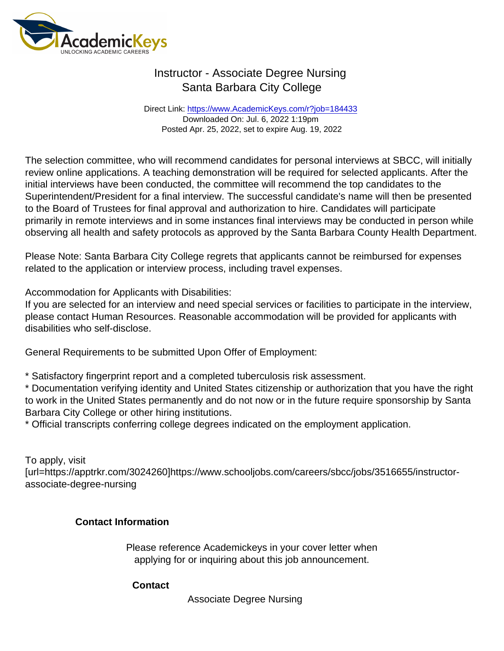Direct Link: <https://www.AcademicKeys.com/r?job=184433> Downloaded On: Jul. 6, 2022 1:19pm Posted Apr. 25, 2022, set to expire Aug. 19, 2022

The selection committee, who will recommend candidates for personal interviews at SBCC, will initially review online applications. A teaching demonstration will be required for selected applicants. After the initial interviews have been conducted, the committee will recommend the top candidates to the Superintendent/President for a final interview. The successful candidate's name will then be presented to the Board of Trustees for final approval and authorization to hire. Candidates will participate primarily in remote interviews and in some instances final interviews may be conducted in person while observing all health and safety protocols as approved by the Santa Barbara County Health Department.

Please Note: Santa Barbara City College regrets that applicants cannot be reimbursed for expenses related to the application or interview process, including travel expenses.

Accommodation for Applicants with Disabilities:

If you are selected for an interview and need special services or facilities to participate in the interview, please contact Human Resources. Reasonable accommodation will be provided for applicants with disabilities who self-disclose.

General Requirements to be submitted Upon Offer of Employment:

\* Satisfactory fingerprint report and a completed tuberculosis risk assessment.

\* Documentation verifying identity and United States citizenship or authorization that you have the right to work in the United States permanently and do not now or in the future require sponsorship by Santa Barbara City College or other hiring institutions.

\* Official transcripts conferring college degrees indicated on the employment application.

To apply, visit [url=https://apptrkr.com/3024260]https://www.schooljobs.com/careers/sbcc/jobs/3516655/instructorassociate-degree-nursing

Contact Information

Please reference Academickeys in your cover letter when applying for or inquiring about this job announcement.

**Contact** 

Associate Degree Nursing